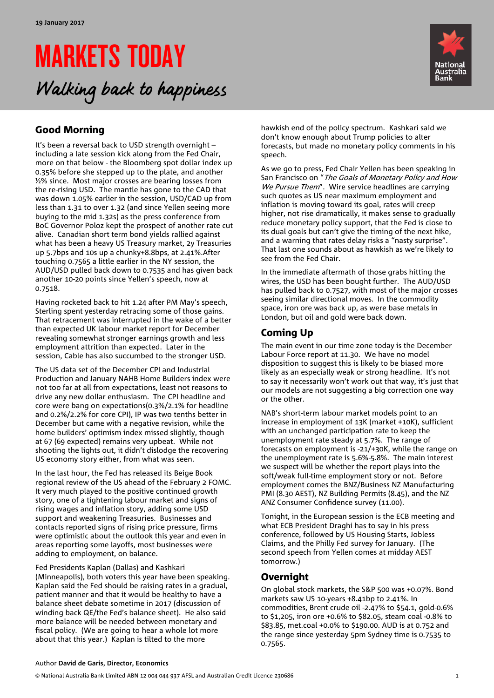# MARKETS TODAY Walking back to happiness



# Good Morning

It's been a reversal back to USD strength overnight – including a late session kick along from the Fed Chair, more on that below - the Bloomberg spot dollar index up 0.35% before she stepped up to the plate, and another ½% since. Most major crosses are bearing losses from the re-rising USD. The mantle has gone to the CAD that was down 1.05% earlier in the session, USD/CAD up from less than 1.31 to over 1.32 (and since Yellen seeing more buying to the mid 1.32s) as the press conference from BoC Governor Poloz kept the prospect of another rate cut alive. Canadian short term bond yields rallied against what has been a heavy US Treasury market, 2y Treasuries up 5.7bps and 10s up a chunky+8.8bps, at 2.41%.After touching 0.7565 a little earlier in the NY session, the AUD/USD pulled back down to 0.7535 and has given back another 10-20 points since Yellen's speech, now at 0.7518.

Having rocketed back to hit 1.24 after PM May's speech, Sterling spent yesterday retracing some of those gains. That retracement was interrupted in the wake of a better than expected UK labour market report for December revealing somewhat stronger earnings growth and less employment attrition than expected. Later in the session, Cable has also succumbed to the stronger USD.

The US data set of the December CPI and Industrial Production and January NAHB Home Builders index were not too far at all from expectations, least not reasons to drive any new dollar enthusiasm. The CPI headline and core were bang on expectations(0.3%/2.1% for headline and 0.2%/2.2% for core CPI), IP was two tenths better in December but came with a negative revision, while the home builders' optimism index missed slightly, though at 67 (69 expected) remains very upbeat. While not shooting the lights out, it didn't dislodge the recovering US economy story either, from what was seen.

In the last hour, the Fed has released its Beige Book regional review of the US ahead of the February 2 FOMC. It very much played to the positive continued growth story, one of a tightening labour market and signs of rising wages and inflation story, adding some USD support and weakening Treasuries. Businesses and contacts reported signs of rising price pressure, firms were optimistic about the outlook this year and even in areas reporting some layoffs, most businesses were adding to employment, on balance.

Fed Presidents Kaplan (Dallas) and Kashkari (Minneapolis), both voters this year have been speaking. Kaplan said the Fed should be raising rates in a gradual, patient manner and that it would be healthy to have a balance sheet debate sometime in 2017 (discussion of winding back QE/the Fed's balance sheet). He also said more balance will be needed between monetary and fiscal policy. (We are going to hear a whole lot more about that this year.) Kaplan is tilted to the more

hawkish end of the policy spectrum. Kashkari said we don't know enough about Trump policies to alter forecasts, but made no monetary policy comments in his speech.

As we go to press, Fed Chair Yellen has been speaking in San Francisco on "The Goals of Monetary Policy and How We Pursue Them". Wire service headlines are carrying such quotes as US near maximum employment and inflation is moving toward its goal, rates will creep higher, not rise dramatically, it makes sense to gradually reduce monetary policy support, that the Fed is close to its dual goals but can't give the timing of the next hike, and a warning that rates delay risks a "nasty surprise". That last one sounds about as hawkish as we're likely to see from the Fed Chair.

In the immediate aftermath of those grabs hitting the wires, the USD has been bought further. The AUD/USD has pulled back to 0.7527, with most of the major crosses seeing similar directional moves. In the commodity space, iron ore was back up, as were base metals in London, but oil and gold were back down.

## Coming Up

The main event in our time zone today is the December Labour Force report at 11.30. We have no model disposition to suggest this is likely to be biased more likely as an especially weak or strong headline. It's not to say it necessarily won't work out that way, it's just that our models are not suggesting a big correction one way or the other.

NAB's short-term labour market models point to an increase in employment of 13K (market +10K), sufficient with an unchanged participation rate to keep the unemployment rate steady at 5.7%. The range of forecasts on employment is -21/+30K, while the range on the unemployment rate is 5.6%-5.8%. The main interest we suspect will be whether the report plays into the soft/weak full-time employment story or not. Before employment comes the BNZ/Business NZ Manufacturing PMI (8.30 AEST), NZ Building Permits (8.45), and the NZ ANZ Consumer Confidence survey (11.00).

Tonight, in the European session is the ECB meeting and what ECB President Draghi has to say in his press conference, followed by US Housing Starts, Jobless Claims, and the Philly Fed survey for January. (The second speech from Yellen comes at midday AEST tomorrow.)

### Overnight

On global stock markets, the S&P 500 was +0.07%. Bond markets saw US 10-years +8.41bp to 2.41%. In commodities, Brent crude oil -2.47% to \$54.1, gold-0.6% to \$1,205, iron ore +0.6% to \$82.05, steam coal -0.8% to \$83.85, met.coal +0.0% to \$190.00. AUD is at 0.752 and the range since yesterday 5pm Sydney time is 0.7535 to 0.7565.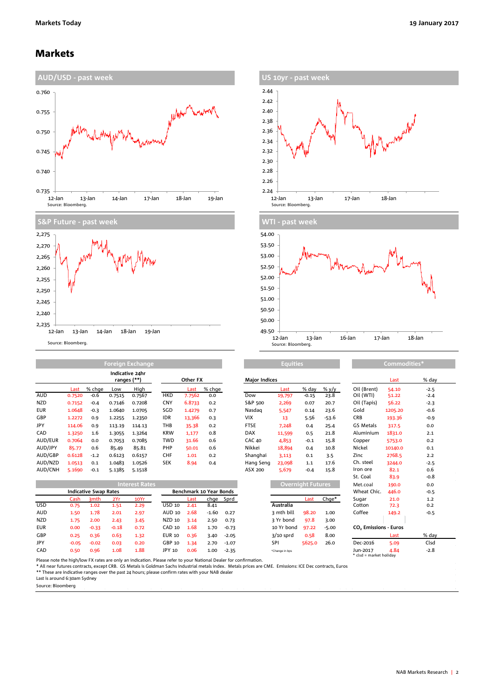### Markets







AUD 0.7520 -0.6 0.7515 0.7567 HKD 7.7562 0.0 Dow 19,797 -0.15 23.8 Oil (WTI) 51.22 -2.4 NZD 0.7152 -0.4 0.7146 0.7208 CNY 6.8733 0.2 S&P 500 2,269 0.07 20.7 Oil (Tapis) 56.22 -2.3 EUR 1.0648 -0.3 1.0640 1.0705 SGD 1.4279 0.7 Nasdaq 5,547 0.14 23.6 Gold 1205.20 -0.6 GBP 1.2272 0.9 1.2255 1.2350 IDR 13,366 0.3 VIX 13 5.56 -53.6 CRB 193.36 -0.9 JPY 114.06 0.9 113.19 114.13 THB 35.38 0.2 FTSE 7,248 0.4 25.4 GS Metals 317.5 0.0 CAD 1.3250 1.6 1.3055 1.3264 KRW 1,177 0.8 DAX 11,599 0.5 21.8 Aluminium 1831.0 2.1 AUD/EUR 0.7064 0.0 0.7053 0.7085 TWD 31.66 0.6 CAC 40 4,853 -0.1 15.8 Copper 5753.0 0.2 AUD/JPY 85.77 0.6 85.49 85.81 PHP 50.01 0.6 Nikkei 18,894 0.4 10.8 Nickel 10140.0 0.1 AUD/GBP 0.6128 -1.2 0.6123 0.6157 CHF 1.01 0.2 Shanghai 3,113 0.1 3.5 Zinc 2768.5 2.2 **Indicative 24hr ranges (\*\*)**

12-Jan 13-Jan 14-Jan 18-Jan 19-Jan

| AUD/NZD    | 1.0513                       | 0.1              | 1.0483  | 1.0526                | <b>SEK</b>    | 8.94                    | 0.4     |           | Hang Seng | 23,098      | 1.1                      | 17.6    | Ch. steel                         | 3244.0 | $-2.5$ |
|------------|------------------------------|------------------|---------|-----------------------|---------------|-------------------------|---------|-----------|-----------|-------------|--------------------------|---------|-----------------------------------|--------|--------|
| AUD/CNH    | 5.1690                       | $-0.1$           | 5.1385  | 5.1518                |               |                         |         |           | ASX 200   | 5,679       | $-0.4$                   | 15.8    | Iron ore                          | 82.1   | 0.6    |
|            |                              |                  |         |                       |               |                         |         |           |           |             |                          |         | St. Coal                          | 83.9   | $-0.8$ |
|            |                              |                  |         | <b>Interest Rates</b> |               |                         |         |           |           |             | <b>Overnight Futures</b> |         | Met.coal                          | 190.0  | 0.0    |
|            | <b>Indicative Swap Rates</b> |                  |         |                       |               | Benchmark 10 Year Bonds |         |           |           |             |                          |         | Wheat Chic.                       | 446.0  | $-0.5$ |
|            | Cash                         | 3 <sub>mth</sub> | 2Yr     | 10Yr                  |               | Last                    |         | chge Sprd |           |             | Last                     | $Chqe*$ | Sugar                             | 21.0   | 1.2    |
| USD        | 0.75                         | 1.02             | 1.51    | 2.29                  | USD 10        | 2.41                    | 8.41    |           |           | Australia   |                          |         | Cotton                            | 72.3   | 0.2    |
| AUD        | 1.50                         | 1.78             | 2.01    | 2.97                  | AUD 10        | 2.68                    | $-1.60$ | 0.27      |           | 3 mth bill  | 98.20                    | 1.00    | Coffee                            | 149.2  | $-0.5$ |
| NZD        | 1.75                         | 2.00             | 2.43    | 3.45                  | NZD 10        | 3.14                    | 2.50    | 0.73      |           | 3 Yr bond   | 97.8                     | 3.00    |                                   |        |        |
| EUR        | 0.00                         | $-0.33$          | $-0.18$ | 0.72                  | <b>CAD 10</b> | 1.68                    | 1.70    | $-0.73$   |           | 10 Yr bond  | 97.22                    | $-5.00$ | CO <sub>2</sub> Emissions - Euros |        |        |
| GBP        | 0.25                         | 0.36             | 0.63    | 1.32                  | <b>EUR 10</b> | 0.36                    | 3.40    | $-2.05$   |           | $3/10$ sprd | 0.58                     | 8.00    |                                   | Last   | % day  |
| <b>JPY</b> | $-0.05$                      | $-0.02$          | 0.03    | 0.20                  | GBP 10        | 1.34                    | 2.70    | $-1.07$   |           | SPI         | 5625.0                   | 26.0    | Dec-2016                          | 5.09   | Clsd   |
|            |                              |                  |         |                       |               |                         |         |           |           |             |                          |         |                                   |        |        |

|                       |                              |                  |         | ranges (**) | Other FX      |                                |         |         | <b>Major Indices</b> |                          |         |         |                                     | Last    | % day  |  |
|-----------------------|------------------------------|------------------|---------|-------------|---------------|--------------------------------|---------|---------|----------------------|--------------------------|---------|---------|-------------------------------------|---------|--------|--|
|                       | Last                         | % chge           | Low     | High        |               | Last                           | % chge  |         |                      | Last                     | % day   | % y/y   | Oil (Brent)                         | 54.10   | $-2.5$ |  |
| AUD                   | 0.7520                       | $-0.6$           | 0.7515  | 0.7567      | <b>HKD</b>    | 7.7562                         | 0.0     |         | Dow                  | 19,797                   | $-0.15$ | 23.8    | Oil (WTI)                           | 51.22   | $-2.4$ |  |
| <b>NZD</b>            | 0.7152                       | $-0.4$           | 0.7146  | 0.7208      | CNY           | 6.8733                         | 0.2     |         | S&P 500              | 2,269                    | 0.07    | 20.7    | Oil (Tapis)                         | 56.22   | $-2.3$ |  |
| EUR                   | 1.0648                       | $-0.3$           | 1.0640  | 1.0705      | SGD           | 1.4279                         | 0.7     |         | Nasdag               | 5,547                    | 0.14    | 23.6    | Gold                                | 1205.20 | $-0.6$ |  |
| GBP                   | 1.2272                       | 0.9              | 1.2255  | 1.2350      | <b>IDR</b>    | 13,366                         | 0.3     |         | <b>VIX</b>           | 13                       | 5.56    | $-53.6$ | CRB                                 | 193.36  | $-0.9$ |  |
| JPY                   | 114.06                       | 0.9              | 113.19  | 114.13      | <b>THB</b>    | 35.38                          | 0.2     |         | <b>FTSE</b>          | 7.248                    | 0.4     | 25.4    | <b>GS Metals</b>                    | 317.5   | 0.0    |  |
| CAD                   | 1.3250                       | 1.6              | 1.3055  | 1.3264      | <b>KRW</b>    | 1,177                          | 0.8     |         | <b>DAX</b>           | 11,599                   | 0.5     | 21.8    | Aluminium                           | 1831.0  | 2.1    |  |
| AUD/EUR               | 0.7064                       | 0.0              | 0.7053  | 0.7085      | <b>TWD</b>    | 31.66                          | 0.6     |         | <b>CAC 40</b>        | 4.853                    | $-0.1$  | 15.8    | Copper                              | 5753.0  | 0.2    |  |
| AUD/JPY               | 85.77                        | 0.6              | 85.49   | 85.81       | PHP           | 50.01                          | 0.6     |         | Nikkei               | 18,894                   | 0.4     | 10.8    | Nickel                              | 10140.0 | 0.1    |  |
| AUD/GBP               | 0.6128                       | $-1.2$           | 0.6123  | 0.6157      | CHF           | 1.01                           | 0.2     |         | Shanghai             | 3.113                    | 0.1     | 3.5     | Zinc                                | 2768.5  | 2.2    |  |
| AUD/NZD               | 1.0513                       | 0.1              | 1.0483  | 1.0526      | <b>SEK</b>    | 8.94                           | 0.4     |         | Hang Seng            | 23,098                   | 1.1     | 17.6    | Ch. steel                           | 3244.0  | $-2.5$ |  |
| AUD/CNH               | 5.1690                       | $-0.1$           | 5.1385  | 5.1518      |               |                                |         |         | ASX 200              | 5.679                    | $-0.4$  | 15.8    | Iron ore                            | 82.1    | 0.6    |  |
|                       |                              |                  |         |             |               |                                |         |         |                      |                          |         |         | St. Coal                            | 83.9    | $-0.8$ |  |
| <b>Interest Rates</b> |                              |                  |         |             |               |                                |         |         |                      | <b>Overnight Futures</b> |         |         | Met.coal                            | 190.0   | 0.0    |  |
|                       | <b>Indicative Swap Rates</b> |                  |         |             |               | <b>Benchmark 10 Year Bonds</b> |         |         |                      |                          |         |         | Wheat Chic.                         | 446.0   | $-0.5$ |  |
|                       | Cash                         | 3 <sub>mth</sub> | 2Yr     | 10Yr        |               | Last                           | chge    | Sprd    |                      |                          | Last    | Chge*   | Sugar                               | 21.0    | 1.2    |  |
| USD                   | 0.75                         | 1.02             | 1.51    | 2.29        | <b>USD 10</b> | 2.41                           | 8.41    |         |                      | Australia                |         |         | Cotton                              | 72.3    | 0.2    |  |
| AUD                   | 1.50                         | 1.78             | 2.01    | 2.97        | AUD 10        | 2.68                           | $-1.60$ | 0.27    |                      | 3 mth bill               | 98.20   | 1.00    | Coffee                              | 149.2   | $-0.5$ |  |
| <b>NZD</b>            | 1.75                         | 2.00             | 2.43    | 3.45        | <b>NZD 10</b> | 3.14                           | 2.50    | 0.73    |                      | 3 Yr bond                | 97.8    | 3.00    |                                     |         |        |  |
| EUR                   | 0.00                         | $-0.33$          | $-0.18$ | 0.72        | CAD 10        | 1.68                           | 1.70    | $-0.73$ |                      | 10 Yr bond               | 97.22   | $-5.00$ | CO <sub>2</sub> Emissions - Euros   |         |        |  |
| GBP                   | 0.25                         | 0.36             | 0.63    | 1.32        | <b>EUR 10</b> | 0.36                           | 3.40    | $-2.05$ |                      | $3/10$ sprd              | 0.58    | 8.00    |                                     | Last    | % day  |  |
| JPY                   | $-0.05$                      | $-0.02$          | 0.03    | 0.20        | GBP 10        | 1.34                           | 2.70    | $-1.07$ |                      | SPI                      | 5625.0  | 26.0    | Dec-2016                            | 5.09    | Clsd   |  |
| CAD<br>.              | 0.50                         | 0.96             | 1.08    | 1.88        | JPY 10        | 0.06                           | 1.00    | $-2.35$ |                      | *Change in bps           |         |         | Jun-2017<br>* clsd = market holidav | 4.84    | $-2.8$ |  |

**Equities Commodities** 

Please note the high/low FX rates are only an indication. Please refer to your National Dealer for confirmation.

\* All near futures contracts, except CRB. GS Metals is Goldman Sachs industrial metals index. Metals prices are CME. Emissions: ICE Dec contracts, Euros<br>\*\* These are indicative ranges over the past 24 hours; please confirm

Last is around 6:30am Sydney

Source: Bloomberg

 $2,235 +$ 2,240

Source: Bloomberg.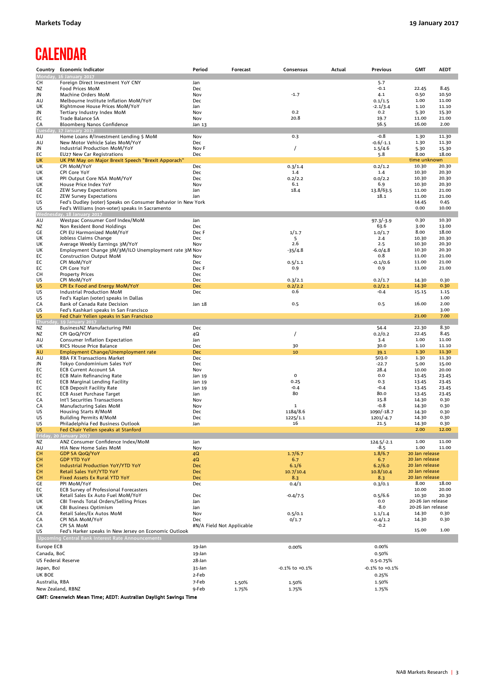# **CALENDAR**

|                           | Country Economic Indicator                                                             | Period                    | Forecast | Consensus            | Actual | <b>Previous</b>      | <b>GMT</b>                       | <b>AEDT</b>    |
|---------------------------|----------------------------------------------------------------------------------------|---------------------------|----------|----------------------|--------|----------------------|----------------------------------|----------------|
| CН                        | Monday, 16 January 2017<br>Foreign Direct Investment YoY CNY                           | Jan                       |          |                      |        | 5.7                  |                                  |                |
| ΝZ                        | Food Prices MoM                                                                        | Dec                       |          |                      |        | $-0.1$               | 22.45                            | 8.45           |
| JN                        | Machine Orders MoM                                                                     | Nov                       |          | $-1.7$               |        | 4.1                  | 0.50                             | 10.50          |
| AU                        | Melbourne Institute Inflation MoM/YoY                                                  | Dec                       |          |                      |        | 0.1/1.5              | 1.00                             | 11.00          |
| UK                        | Rightmove House Prices MoM/YoY                                                         | Jan                       |          |                      |        | $-2.1/3.4$           | 1.10                             | 11.10          |
| JN<br>EC                  | Tertiary Industry Index MoM<br>Trade Balance SA                                        | Nov<br>Nov                |          | 0.2<br>20.8          |        | 0.2<br>19.7          | 5.30<br>11.00                    | 15.30<br>21.00 |
| CA                        | Bloomberg Nanos Confidence                                                             | Jan 13                    |          |                      |        | 56.5                 | 16.00                            | 2.00           |
| Tuesda                    | 17 January 2017                                                                        |                           |          |                      |        |                      |                                  |                |
| AU                        | Home Loans #/Investment Lending \$ MoM                                                 | Nov                       |          | 0.3                  |        | $-0.8$               | 1.30                             | 11.30          |
| AU                        | New Motor Vehicle Sales MoM/YoY                                                        | Dec                       |          |                      |        | $-0.6/-1.1$          | 1.30                             | 11.30          |
| JN<br>EC                  | Industrial Production MoM/YoY<br>EU27 New Car Registrations                            | Nov F<br>Dec              |          | $\prime$             |        | 1.5/4.6<br>5.8       | 5.30<br>8.00                     | 15.30<br>18.00 |
| <b>UK</b>                 | UK PM May on Major Brexit Speech "Brexit Apporach"                                     |                           |          |                      |        |                      | time unknown                     |                |
| UK                        | CPI MoM/YoY                                                                            | Dec                       |          | 0.3/1.4              |        | 0.2/1.2              | 10.30                            | 20.30          |
| UK                        | CPI Core YoY                                                                           | Dec                       |          | 1.4                  |        | 1.4<br>0.0/2.2       | 10.30                            | 20.30          |
| UK<br>UK                  | PPI Output Core NSA MoM/YoY<br>House Price Index YoY                                   | Dec<br>Nov                |          | 0.2/2.2<br>6.1       |        | 6.9                  | 10.30<br>10.30                   | 20.30<br>20.30 |
| GE                        | <b>ZEW Survey Expectations</b>                                                         | Jan                       |          | 18.4                 |        | 13.8/63.5            | 11.00                            | 21.00          |
| EC                        | <b>ZEW Survey Expectations</b>                                                         | Jan                       |          |                      |        | 18.1                 | 11.00                            | 21.00          |
| US                        | Fed's Dudley (voter) Speaks on Consumer Behavior in New York                           |                           |          |                      |        |                      | 14.45                            | 0.45           |
| US                        | Fed's Williams (non-voter) speaks in Sacramento<br>Wednesday, 18 January 2017          |                           |          |                      |        |                      | 0.00                             | 10.00          |
| AU                        | Westpac Consumer Conf Index/MoM                                                        | Jan                       |          |                      |        | $97.3/-3.9$          | 0.30                             | 10.30          |
| NZ                        | Non Resident Bond Holdings                                                             | Dec                       |          |                      |        | 63.6                 | 3.00                             | 13.00          |
| GE                        | CPI EU Harmonized MoM/YoY                                                              | Dec F                     |          | 1/1.7                |        | 1.0/1.7              | 8.00                             | 18.00          |
| UK                        | Jobless Claims Change                                                                  | Dec                       |          | 5<br>2.6             |        | 2.4<br>2.5           | 10.30<br>10.30                   | 20.30<br>20.30 |
| UK<br>UK                  | Average Weekly Earnings 3M/YoY<br>Employment Change 3M/3M/ILO Unemployment rate 3M Nov | Nov                       |          | $-35/4.8$            |        | $-6.0/4.8$           | 10.30                            | 20.30          |
| EC                        | <b>Construction Output MoM</b>                                                         | Nov                       |          |                      |        | 0.8                  | 11.00                            | 21.00          |
| EC                        | CPI MoM/YoY                                                                            | <b>Dec</b>                |          | 0.5/1.1              |        | $-0.1/0.6$           | 11.00                            | 21.00          |
| EC                        | CPI Core YoY                                                                           | Dec F                     |          | 0.9                  |        | 0.9                  | 11.00                            | 21.00          |
| CН<br>US                  | <b>Property Prices</b><br>CPI MoM/YoY                                                  | Dec<br>Dec                |          | 0.3/2.1              |        | 0.2/1.7              | 14.30                            | 0.30           |
| <b>US</b>                 | CPI Ex Food and Energy MoM/YoY                                                         | <b>Dec</b>                |          | 0.2/2.2              |        | 0.2/2.1              | 14.30                            | 0.30           |
| US                        | Industrial Production MoM                                                              | Dec                       |          | 0.6                  |        | $-0.4$               | 15.15                            | 1.15           |
| US                        | Fed's Kaplan (voter) speaks in Dallas                                                  |                           |          |                      |        |                      |                                  | 1.00           |
| CA                        | Bank of Canada Rate Decision                                                           | Jan 18                    |          | 0.5                  |        | 0.5                  | 16.00                            | 2.00<br>3.00   |
| US<br>US                  | Fed's Kashkari speaks in San Francisco<br>Fed Chair Yellen speaks in San Francisco     |                           |          |                      |        |                      | 21.00                            | 7.00           |
| <b>Thursda</b>            | y, 19 January 2017                                                                     |                           |          |                      |        |                      |                                  |                |
| ΝZ                        | BusinessNZ Manufacturing PMI                                                           | Dec                       |          |                      |        | 54.4                 | 22.30                            | 8.30           |
| ΝZ                        | CPI QoQ/YOY                                                                            | 4Q                        |          | $\prime$             |        | 0.2/0.2              | 22.45                            | 8.45           |
| AU<br>UK                  | Consumer Inflation Expectation<br>RICS House Price Balance                             | Jan<br>Dec                |          | 30                   |        | 3.4<br>30.0          | 1.00<br>1.10                     | 11.00<br>11.10 |
| AU                        | <b>Employment Change/Unemployment rate</b>                                             | <b>Dec</b>                |          | 10                   |        | 39.1                 | 1.30                             | 11.30          |
| AU                        | <b>RBA FX Transactions Market</b>                                                      | Dec                       |          |                      |        | 503.0                | 1.30                             | 11.30          |
| JN                        | Tokyo Condominium Sales YoY                                                            | <b>Dec</b>                |          |                      |        | $-22.7$              | 5.00                             | 15.00          |
| EC<br>EC                  | <b>ECB Current Account SA</b><br><b>ECB Main Refinancing Rate</b>                      | Nov<br>Jan 19             |          | $\mathsf{o}$         |        | 28.4<br>0.0          | 10.00<br>13.45                   | 20.00<br>23.45 |
| EC                        | <b>ECB Marginal Lending Facility</b>                                                   | Jan 19                    |          | 0.25                 |        | 0.3                  | 13.45                            | 23.45          |
| EC                        | <b>ECB Deposit Facility Rate</b>                                                       | Jan 19                    |          | $-0.4$               |        | $-0.4$               | 13.45                            | 23.45          |
| EC                        | <b>ECB Asset Purchase Target</b>                                                       | Jan                       |          | 80                   |        | 80.0                 | 13.45                            | 23.45          |
| СA<br>CA                  | Int'l Securities Transactions<br>Manufacturing Sales MoM                               | Nov<br>Nov                |          | $\mathbf 1$          |        | 15.8<br>$-0.8$       | 14.30<br>14.30                   | 0.30<br>0.30   |
| US                        | Housing Starts #/MoM                                                                   | Dec                       |          | 1184/8.6             |        | 1090/-18.7           | 14.30                            | 0.30           |
| US                        | Building Permits #/MoM                                                                 | Dec                       |          | 1225/1.1             |        | $1201/-4.7$          | 14.30                            | 0.30           |
| US                        | Philadelphia Fed Business Outlook                                                      | Jan                       |          | 16                   |        | 21.5                 | 14.30                            | 0.30           |
| <b>US</b>                 | Fed Chair Yellen speaks at Stanford                                                    |                           |          |                      |        |                      | 2.00                             | 12.00          |
| NZ                        | 20 January 2017<br>ANZ Consumer Confidence Index/MoM                                   | Jan                       |          |                      |        | $124.5/-2.1$         | 1.00                             | 11.00          |
| AU                        | HIA New Home Sales MoM                                                                 | Nov                       |          |                      |        | -8.5                 | 1.00                             | 11.00          |
| <b>CH</b>                 | <b>GDP SA QoQ/YoY</b>                                                                  | 4Q                        |          | 1.7/6.7              |        | 1.8/6.7              | 20 Jan release                   |                |
| CH.                       | <b>GDP YTD YoY</b>                                                                     | 4Q                        |          | 6.7                  |        | 6.7                  | 20 Jan release<br>20 Jan release |                |
| <b>CH</b><br><b>CH</b>    | <b>Industrial Production YoY/YTD YoY</b><br>Retail Sales YoY/YTD YoY                   | <b>Dec</b><br><b>Dec</b>  |          | 6.1/6<br>10.7/10.4   |        | 6.2/6.0<br>10.8/10.4 | 20 Jan release                   |                |
| <b>CH</b>                 | Fixed Assets Ex Rural YTD YoY                                                          | <b>Dec</b>                |          | 8.3                  |        | 8.3                  | 20 Jan release                   |                |
| GE                        | PPI MoM/YoY                                                                            | Dec                       |          | 0.4/1                |        | 0.3/0.1              | 8.00                             | 18.00          |
| EC                        | ECB Survey of Professional Forecasters                                                 |                           |          |                      |        |                      | 10.00                            | 20.00          |
| UK<br>UK                  | Retail Sales Ex Auto Fuel MoM/YoY<br><b>CBI Trends Total Orders/Selling Prices</b>     | Dec<br>Jan                |          | $-0.4/7.5$           |        | 0.5/6.6<br>0.0       | 10.30<br>20-26 Jan release       | 20.30          |
| UK                        | <b>CBI Business Optimism</b>                                                           | Jan                       |          |                      |        | $-8.0$               | 20-26 Jan release                |                |
| CA                        | Retail Sales/Ex Autos MoM                                                              | Nov                       |          | 0.5/0.1              |        | 1.1/1.4              | 14.30                            | 0.30           |
| CA                        | CPI NSA MoM/YoY                                                                        | Dec                       |          | 0/1.7                |        | $-0.4/1.2$           | 14.30                            | 0.30           |
| CA<br>US                  | <b>CPI SA MOM</b><br>Fed's Harker speaks in New Jersey on Economic Outlook             | #N/A Field Not Applicable |          |                      |        | $-0.2$               | 15.00                            | 1.00           |
|                           | Upcoming Central Bank Interest Rate Announcements                                      |                           |          |                      |        |                      |                                  |                |
| Europe ECB                |                                                                                        | 19-Jan                    |          | 0.00%                |        | 0.00%                |                                  |                |
| Canada, BoC               |                                                                                        | 19-Jan                    |          |                      |        | 0.50%                |                                  |                |
| <b>US Federal Reserve</b> |                                                                                        | 28-Jan                    |          |                      |        | 0.5-0.75%            |                                  |                |
| Japan, BoJ                |                                                                                        | 31-Jan                    |          | $-0.1\%$ to $+0.1\%$ |        | -0.1% to +0.1%       |                                  |                |
| UK BOE                    |                                                                                        | 2-Feb                     |          |                      |        | 0.25%                |                                  |                |
| Australia, RBA            |                                                                                        | 7-Feb                     | 1.50%    | 1.50%                |        | 1.50%                |                                  |                |
| New Zealand, RBNZ         |                                                                                        | 9-Feb                     | 1.75%    | 1.75%                |        | 1.75%                |                                  |                |

GMT: Greenwich Mean Time; AEDT: Australian Daylight Savings Time